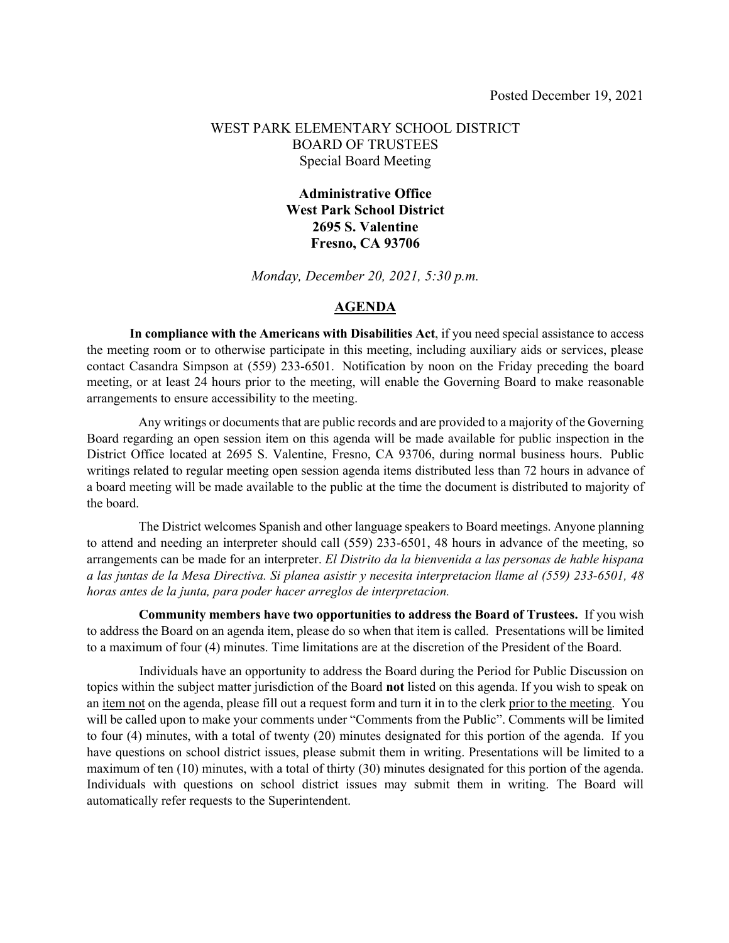#### WEST PARK ELEMENTARY SCHOOL DISTRICT BOARD OF TRUSTEES Special Board Meeting

#### **Administrative Office West Park School District 2695 S. Valentine Fresno, CA 93706**

*Monday, December 20, 2021, 5:30 p.m.*

#### **AGENDA**

**In compliance with the Americans with Disabilities Act**, if you need special assistance to access the meeting room or to otherwise participate in this meeting, including auxiliary aids or services, please contact Casandra Simpson at (559) 233-6501. Notification by noon on the Friday preceding the board meeting, or at least 24 hours prior to the meeting, will enable the Governing Board to make reasonable arrangements to ensure accessibility to the meeting.

Any writings or documents that are public records and are provided to a majority of the Governing Board regarding an open session item on this agenda will be made available for public inspection in the District Office located at 2695 S. Valentine, Fresno, CA 93706, during normal business hours. Public writings related to regular meeting open session agenda items distributed less than 72 hours in advance of a board meeting will be made available to the public at the time the document is distributed to majority of the board.

 The District welcomes Spanish and other language speakers to Board meetings. Anyone planning to attend and needing an interpreter should call (559) 233-6501, 48 hours in advance of the meeting, so arrangements can be made for an interpreter. *El Distrito da la bienvenida a las personas de hable hispana a las juntas de la Mesa Directiva. Si planea asistir y necesita interpretacion llame al (559) 233-6501, 48 horas antes de la junta, para poder hacer arreglos de interpretacion.*

 **Community members have two opportunities to address the Board of Trustees.** If you wish to address the Board on an agenda item, please do so when that item is called. Presentations will be limited to a maximum of four (4) minutes. Time limitations are at the discretion of the President of the Board.

 Individuals have an opportunity to address the Board during the Period for Public Discussion on topics within the subject matter jurisdiction of the Board **not** listed on this agenda. If you wish to speak on an item not on the agenda, please fill out a request form and turn it in to the clerk prior to the meeting. You will be called upon to make your comments under "Comments from the Public". Comments will be limited to four (4) minutes, with a total of twenty (20) minutes designated for this portion of the agenda. If you have questions on school district issues, please submit them in writing. Presentations will be limited to a maximum of ten (10) minutes, with a total of thirty (30) minutes designated for this portion of the agenda. Individuals with questions on school district issues may submit them in writing. The Board will automatically refer requests to the Superintendent.